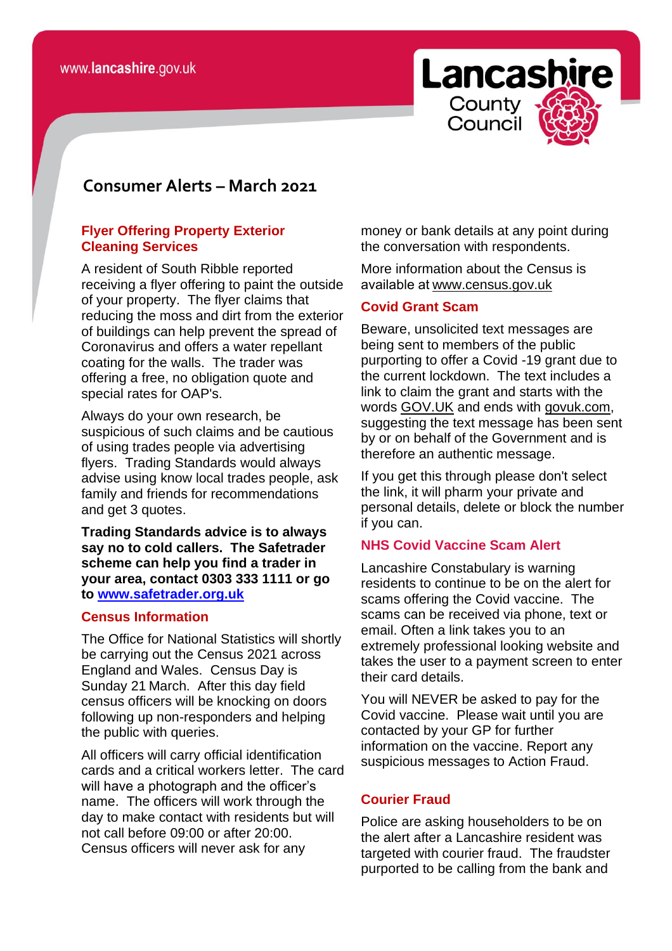

# **consomer Consumer Alerts – March 2021**

# **Flyer Offering Property Exterior Cleaning Services**

A resident of South Ribble reported receiving a flyer offering to paint the outside of your property. The flyer claims that reducing the moss and dirt from the exterior of buildings can help prevent the spread of Coronavirus and offers a water repellant coating for the walls. The trader was offering a free, no obligation quote and special rates for OAP's.

Always do your own research, be suspicious of such claims and be cautious of using trades people via advertising flyers. Trading Standards would always advise using know local trades people, ask family and friends for recommendations and get 3 quotes.

**Trading Standards advice is to always say no to cold callers. The Safetrader scheme can help you find a trader in your area, contact 0303 333 1111 or go to [www.safetrader.org.uk](http://www.safetrader.org.uk/)**

# **Census Information**

The Office for National Statistics will shortly be carrying out the Census 2021 across England and Wales. Census Day is Sunday 21 March. After this day field census officers will be knocking on doors following up non-responders and helping the public with queries.

All officers will carry official identification cards and a critical workers letter. The card will have a photograph and the officer's name. The officers will work through the day to make contact with residents but will not call before 09:00 or after 20:00. Census officers will never ask for any

money or bank details at any point during the conversation with respondents.

More information about the Census is available a[t www.census.gov.uk](https://lnks.gd/l/eyJhbGciOiJIUzI1NiJ9.eyJidWxsZXRpbl9saW5rX2lkIjoxMDIsInVyaSI6ImJwMjpjbGljayIsImJ1bGxldGluX2lkIjoiMjAyMTAyMjUuMzU5MDUxOTEiLCJ1cmwiOiJodHRwOi8vd3d3LmNlbnN1cy5nb3YudWsvIn0.k4ZWFTLmZwqf6ruAoy5yQzAJXN8B3E7CitW5H9vzqcs/s/836016198/br/98324716385-l) 

### **Covid Grant Scam**

Beware, unsolicited text messages are being sent to members of the public purporting to offer a Covid -19 grant due to the current lockdown. The text includes a link to claim the grant and starts with the words [GOV.UK](https://l.facebook.com/l.php?u=https%3A%2F%2FGOV.UK%2F%3Ffbclid%3DIwAR2G0mTz7drwkwRetb332PAnCzZ_brKv0UkDbhygZXMhcK99d6E-v-8odBM&h=AT1fQue7bJCP9TTjSiWko89M6vEE7WHdNeLEcvwKw7z9J_jrxCBhZIdmpGzUSTupq9rKPf9tWfDKQAkiieP47kljKHasup8JJHtmNJBZIwFPydZcXGHsubKmNOOuLjhB1SQS&__tn__=-UK-R&c%5b0%5d=AT0BYmiHyPQYZjC95OUnnlCXpZVa6SnB3FCjEEhKVTT-YExeKaZgmEGcWmVk6gLSNjLJCtfNVMinIouu9NL58QwrbiAjWtbm9nYEy0pqDk49VmNb3YTC_WqqeMfUi1JzCZQDJh16iM_WYVdzk8OnUDbw3KDf0N_CLBbVxQA8G_FzF9Y) and ends with [govuk.com,](https://l.facebook.com/l.php?u=http%3A%2F%2Fgovuk.com%2F%3Ffbclid%3DIwAR2gEok0__CFMScl7HGPSN_HuaFKpQvj3kLbIoJiXRNsaxQbcHtsbH0Dkto&h=AT2CQ7Udx7TaxbhwOid7nbiaamrNKk9EYX2e18fGBkH5_WzUhGfB3jGC6UKjbG0r-TsCFgI2iS7661cn0FhOxVVW2e-DoHvrW9Vneztv2uQnh1Pvx2jfEZJq82LLZ6R6eStX&__tn__=-UK-R&c%5b0%5d=AT0BYmiHyPQYZjC95OUnnlCXpZVa6SnB3FCjEEhKVTT-YExeKaZgmEGcWmVk6gLSNjLJCtfNVMinIouu9NL58QwrbiAjWtbm9nYEy0pqDk49VmNb3YTC_WqqeMfUi1JzCZQDJh16iM_WYVdzk8OnUDbw3KDf0N_CLBbVxQA8G_FzF9Y) suggesting the text message has been sent by or on behalf of the Government and is therefore an authentic message.

If you get this through please don't select the link, it will pharm your private and personal details, delete or block the number if you can.

#### **NHS Covid Vaccine Scam Alert**

Lancashire Constabulary is warning residents to continue to be on the alert for scams offering the Covid vaccine. The scams can be received via phone, text or email. Often a link takes you to an extremely professional looking website and takes the user to a payment screen to enter their card details.

You will NEVER be asked to pay for the Covid vaccine. Please wait until you are contacted by your GP for further information on the vaccine. Report any suspicious messages to Action Fraud.

# **Courier Fraud**

Police are asking householders to be on the alert after a Lancashire resident was targeted with courier fraud. The fraudster purported to be calling from the bank and